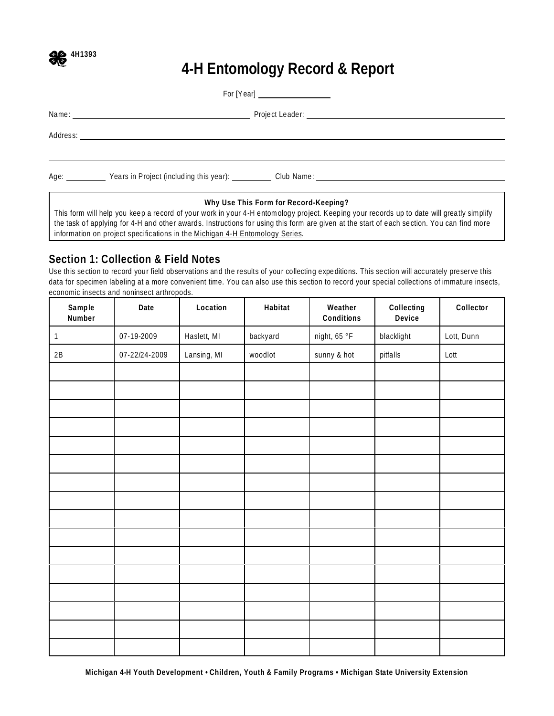

# **4-H Entomology Record & Report**

|  | Age: <b>Example 2018</b> Years in Project (including this year): Club Name: <b>Club Name:</b> Name: New York 2019 |  |  |
|--|-------------------------------------------------------------------------------------------------------------------|--|--|

**Why Use This Form for Record-Keeping?**

This form will help you keep a record of your work in your 4-H entomology project. Keeping your records up to date will greatly simplify the task of applying for 4-H and other awards. Instructions for using this form are given at the start of each section. You can find more information on project specifications in the Michigan 4-H Entomology Series.

#### **Section 1: Collection & Field Notes**

Use this section to record your field observations and the results of your collecting expeditions. This section will accurately preserve this data for specimen labeling at a more convenient time. You can also use this section to record your special collections of immature insects, economic insects and noninsect arthropods.

| Sample<br>Number | Date          | Location    | Habitat  | Weather<br>Conditions | Collecting<br>Device | Collector  |
|------------------|---------------|-------------|----------|-----------------------|----------------------|------------|
| $\mathbf{1}$     | 07-19-2009    | Haslett, MI | backyard | night, 65 °F          | blacklight           | Lott, Dunn |
| $2\mathsf{B}$    | 07-22/24-2009 | Lansing, MI | woodlot  | sunny & hot           | pitfalls             | Lott       |
|                  |               |             |          |                       |                      |            |
|                  |               |             |          |                       |                      |            |
|                  |               |             |          |                       |                      |            |
|                  |               |             |          |                       |                      |            |
|                  |               |             |          |                       |                      |            |
|                  |               |             |          |                       |                      |            |
|                  |               |             |          |                       |                      |            |
|                  |               |             |          |                       |                      |            |
|                  |               |             |          |                       |                      |            |
|                  |               |             |          |                       |                      |            |
|                  |               |             |          |                       |                      |            |
|                  |               |             |          |                       |                      |            |
|                  |               |             |          |                       |                      |            |
|                  |               |             |          |                       |                      |            |
|                  |               |             |          |                       |                      |            |
|                  |               |             |          |                       |                      |            |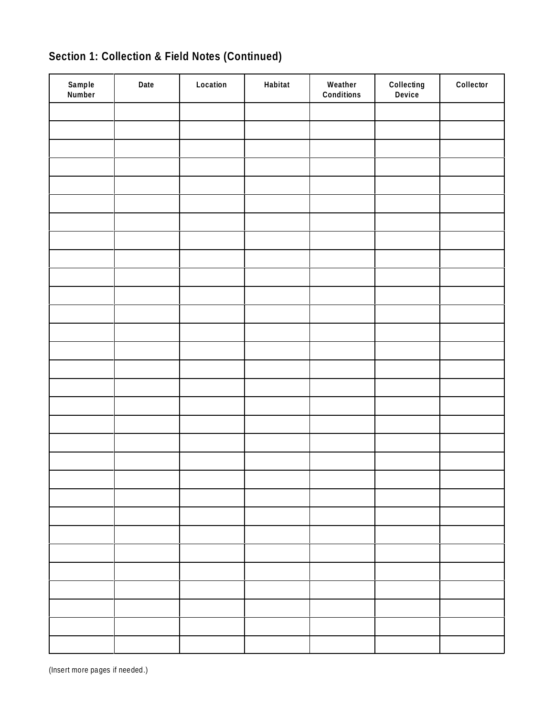| Sample<br>Number | Date | Location | Habitat | Weather<br>Conditions | Collecting<br>Device | Collector |
|------------------|------|----------|---------|-----------------------|----------------------|-----------|
|                  |      |          |         |                       |                      |           |
|                  |      |          |         |                       |                      |           |
|                  |      |          |         |                       |                      |           |
|                  |      |          |         |                       |                      |           |
|                  |      |          |         |                       |                      |           |
|                  |      |          |         |                       |                      |           |
|                  |      |          |         |                       |                      |           |
|                  |      |          |         |                       |                      |           |
|                  |      |          |         |                       |                      |           |
|                  |      |          |         |                       |                      |           |
|                  |      |          |         |                       |                      |           |
|                  |      |          |         |                       |                      |           |
|                  |      |          |         |                       |                      |           |
|                  |      |          |         |                       |                      |           |
|                  |      |          |         |                       |                      |           |
|                  |      |          |         |                       |                      |           |
|                  |      |          |         |                       |                      |           |
|                  |      |          |         |                       |                      |           |
|                  |      |          |         |                       |                      |           |
|                  |      |          |         |                       |                      |           |
|                  |      |          |         |                       |                      |           |
|                  |      |          |         |                       |                      |           |
|                  |      |          |         |                       |                      |           |
|                  |      |          |         |                       |                      |           |
|                  |      |          |         |                       |                      |           |
|                  |      |          |         |                       |                      |           |
|                  |      |          |         |                       |                      |           |
|                  |      |          |         |                       |                      |           |
|                  |      |          |         |                       |                      |           |
|                  |      |          |         |                       |                      |           |

## **Section 1: Collection & Field Notes (Continued)**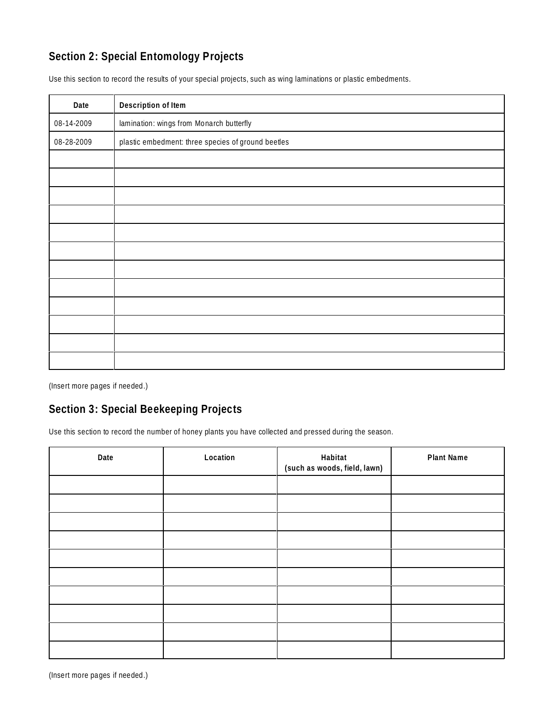## **Section 2: Special Entomology Projects**

Use this section to record the results of your special projects, such as wing laminations or plastic embedments.

| Date       | Description of Item                                |
|------------|----------------------------------------------------|
| 08-14-2009 | lamination: wings from Monarch butterfly           |
| 08-28-2009 | plastic embedment: three species of ground beetles |
|            |                                                    |
|            |                                                    |
|            |                                                    |
|            |                                                    |
|            |                                                    |
|            |                                                    |
|            |                                                    |
|            |                                                    |
|            |                                                    |
|            |                                                    |
|            |                                                    |
|            |                                                    |

(Insert more pages if needed.)

#### **Section 3: Special Beekeeping Projects**

Use this section to record the number of honey plants you have collected and pressed during the season.

| Date | Location | Habitat<br>(such as woods, field, lawn) | Plant Name |
|------|----------|-----------------------------------------|------------|
|      |          |                                         |            |
|      |          |                                         |            |
|      |          |                                         |            |
|      |          |                                         |            |
|      |          |                                         |            |
|      |          |                                         |            |
|      |          |                                         |            |
|      |          |                                         |            |
|      |          |                                         |            |
|      |          |                                         |            |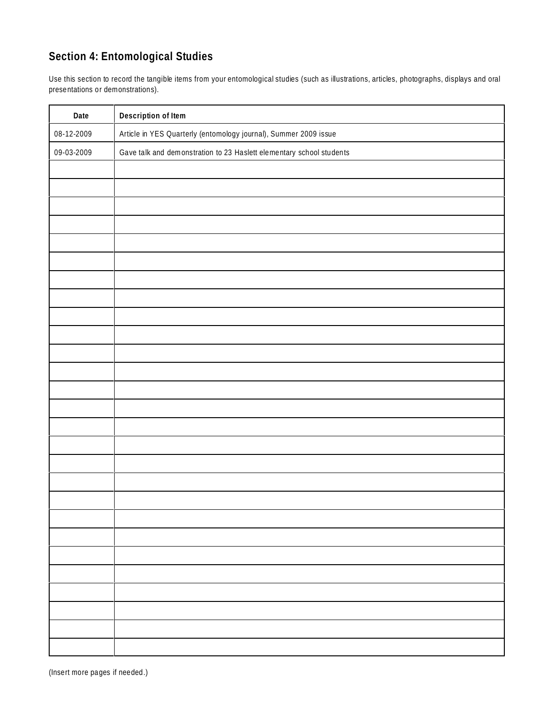## **Section 4: Entomological Studies**

Use this section to record the tangible items from your entomological studies (such as illustrations, articles, photographs, displays and oral presentations or demonstrations).

| Date       | Description of Item                                                  |
|------------|----------------------------------------------------------------------|
| 08-12-2009 | Article in YES Quarterly (entomology journal), Summer 2009 issue     |
| 09-03-2009 | Gave talk and demonstration to 23 Haslett elementary school students |
|            |                                                                      |
|            |                                                                      |
|            |                                                                      |
|            |                                                                      |
|            |                                                                      |
|            |                                                                      |
|            |                                                                      |
|            |                                                                      |
|            |                                                                      |
|            |                                                                      |
|            |                                                                      |
|            |                                                                      |
|            |                                                                      |
|            |                                                                      |
|            |                                                                      |
|            |                                                                      |
|            |                                                                      |
|            |                                                                      |
|            |                                                                      |
|            |                                                                      |
|            |                                                                      |
|            |                                                                      |
|            |                                                                      |
|            |                                                                      |
|            |                                                                      |
|            |                                                                      |
|            |                                                                      |